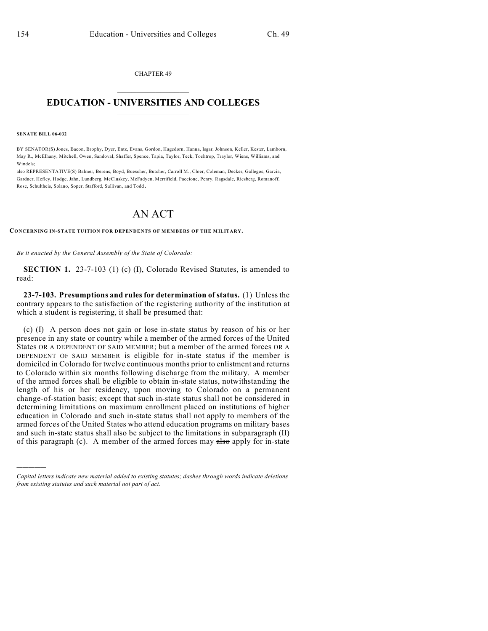CHAPTER 49  $\mathcal{L}_\text{max}$  . The set of the set of the set of the set of the set of the set of the set of the set of the set of the set of the set of the set of the set of the set of the set of the set of the set of the set of the set

## **EDUCATION - UNIVERSITIES AND COLLEGES**  $\frac{1}{2}$

**SENATE BILL 06-032**

)))))

BY SENATOR(S) Jones, Bacon, Brophy, Dyer, Entz, Evans, Gordon, Hagedorn, Hanna, Isgar, Johnson, Keller, Kester, Lamborn, May R., McElhany, Mitchell, Owen, Sandoval, Shaffer, Spence, Tapia, Taylor, Teck, Tochtrop, Traylor, Wiens, Williams, and Windels;

also REPRESENTATIVE(S) Balmer, Berens, Boyd, Buescher, Butcher, Carroll M., Cloer, Coleman, Decker, Gallegos, Garcia, Gardner, Hefley, Hodge, Jahn, Lundberg, McCluskey, McFadyen, Merrifield, Paccione, Penry, Ragsdale, Riesberg, Romanoff, Rose, Schultheis, Solano, Soper, Stafford, Sullivan, and Todd.

## AN ACT

**CONCERNING IN-STATE TUITION FOR DEPENDENTS OF MEMBERS OF THE MILITARY.**

*Be it enacted by the General Assembly of the State of Colorado:*

**SECTION 1.** 23-7-103 (1) (c) (I), Colorado Revised Statutes, is amended to read:

**23-7-103. Presumptions and rules for determination of status.** (1) Unless the contrary appears to the satisfaction of the registering authority of the institution at which a student is registering, it shall be presumed that:

(c) (I) A person does not gain or lose in-state status by reason of his or her presence in any state or country while a member of the armed forces of the United States OR A DEPENDENT OF SAID MEMBER; but a member of the armed forces OR A DEPENDENT OF SAID MEMBER is eligible for in-state status if the member is domiciled in Colorado for twelve continuous months prior to enlistment and returns to Colorado within six months following discharge from the military. A member of the armed forces shall be eligible to obtain in-state status, notwithstanding the length of his or her residency, upon moving to Colorado on a permanent change-of-station basis; except that such in-state status shall not be considered in determining limitations on maximum enrollment placed on institutions of higher education in Colorado and such in-state status shall not apply to members of the armed forces of the United States who attend education programs on military bases and such in-state status shall also be subject to the limitations in subparagraph (II) of this paragraph (c). A member of the armed forces may  $\frac{1}{\text{abs}}$  apply for in-state

*Capital letters indicate new material added to existing statutes; dashes through words indicate deletions from existing statutes and such material not part of act.*